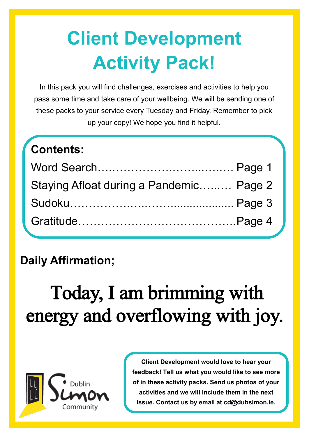# **Client Development Activity Pack!**

In this pack you will find challenges, exercises and activities to help you pass some time and take care of your wellbeing. We will be sending one of these packs to your service every Tuesday and Friday. Remember to pick up your copy! We hope you find it helpful.

| Contents:                               |  |
|-----------------------------------------|--|
|                                         |  |
| Staying Afloat during a Pandemic Page 2 |  |
|                                         |  |
|                                         |  |

### **Daily Affirmation;**

# Today, I am brimming with energy and overflowing with joy.



**Client Development would love to hear your feedback! Tell us what you would like to see more of in these activity packs. Send us photos of your activities and we will include them in the next issue. Contact us by email at cd@dubsimon.ie.**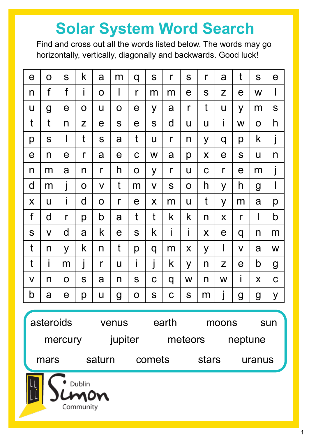## **Solar System Word Search**

Find and cross out all the words listed below. The words may go horizontally, vertically, diagonally and backwards. Good luck!

| $\mathbf e$                   | $\mathbf O$             | S                       | k            | a            | m            | q            | S            | $\mathsf{r}$ | S            | $\mathsf{r}$ | a            | t            | S              | $\mathbf e$    |
|-------------------------------|-------------------------|-------------------------|--------------|--------------|--------------|--------------|--------------|--------------|--------------|--------------|--------------|--------------|----------------|----------------|
| n                             | $\mathsf f$             | f                       | İ            | $\mathbf O$  | I            | $\mathsf{r}$ | m            | m            | е            | S            | Z            | e            | W              |                |
| U                             | $\mathbf g$             | е                       | $\mathbf 0$  | U            | $\mathbf O$  | е            | y            | a            | $\mathsf{r}$ | t            | U            | y            | m              | S              |
| t                             | t                       | n                       | Z            | $\mathbf e$  | S            | $\mathbf e$  | S            | d            | U            | U            | i            | W            | $\mathbf O$    | h              |
| р                             | S                       | $\mathsf{l}$            | t            | S            | a            | t            | U            | $\mathsf{r}$ | n            | y            | q            | р            | k              |                |
| е                             | n                       | $\mathbf e$             | $\mathsf{r}$ | a            | $\mathbf e$  | $\mathsf C$  | W            | a            | p            | X            | $\mathbf e$  | S            | $\mathsf{U}$   | n              |
| n                             | m                       | a                       | n            | $\mathsf{r}$ | h            | O            | y            | $\mathsf{r}$ | U            | $\mathbf C$  | $\mathsf{r}$ | $\mathbf e$  | m              |                |
| d                             | m                       | $\overline{\mathsf{I}}$ | $\mathbf O$  | $\mathsf{V}$ | t            | m            | $\mathsf{V}$ | S            | $\mathbf O$  | h            | y            | h            | $\overline{g}$ | I              |
| X                             | U                       | İ                       | d            | $\mathbf O$  | $\mathsf{r}$ | $\mathbf e$  | X            | m            | U            | t            | y            | m            | a              | р              |
| f                             | d                       | $\mathsf{r}$            | p            | b            | a            | t            | t            | k            | k            | n            | X            | $\mathsf{r}$ | I              | b              |
| S                             | $\overline{\mathsf{V}}$ | d                       | a            | k            | $\mathbf e$  | S            | k            | İ            | İ            | X            | $\mathbf e$  | q            | n              | m              |
| t                             | n                       | y                       | k            | n            | t            | р            | q            | m            | X            | y            | I            | V            | a              | W              |
| t                             | İ                       | m                       | j            | $\mathsf{r}$ | U            | İ            | j            | k            | y            | n            | Z            | e            | b              | $\overline{g}$ |
| V                             | n                       | O                       | S            | a            | n            | S            | $\mathbf C$  | q            | W            | n            | W            | i            | X              | $\mathbf C$    |
| b                             | a                       | $\mathbf e$             | p            | U            | $\mathbf g$  | O            | S            | C            | S            | m            |              | g            | $\mathbf 9$    | y              |
|                               |                         |                         |              |              |              |              |              |              |              |              |              |              |                |                |
| asteroids                     |                         |                         |              | venus        |              |              | earth        |              |              | moons        |              |              | sun            |                |
| jupiter<br>meteors<br>mercury |                         |                         |              |              |              |              | neptune      |              |              |              |              |              |                |                |
| saturn<br>mars                |                         |                         |              |              | comets       |              |              | stars        |              |              |              | uranus       |                |                |
| Dublin<br>Dn<br>Community     |                         |                         |              |              |              |              |              |              |              |              |              |              |                |                |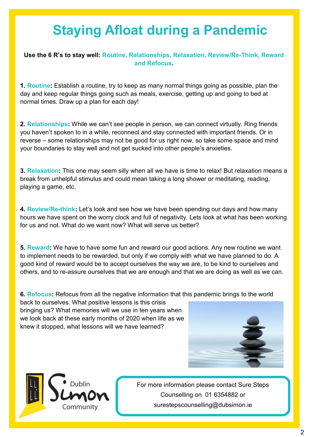### **Staying Afloat during a Pandemic**

**Use the 6 R's to stay well: Routine, Relationships, Relaxation, Review/Re-Think, Reward and Refocus.**

**1. Routine:** Establish a routine, try to keep as many normal things going as possible, plan the day and keep regular things going such as meals, exercise, getting up and going to bed at normal times. Draw up a plan for each day!

**2. Relationships:** While we can't see people in person, we can connect virtually. Ring friends you haven't spoken to in a while, reconnect and stay connected with important friends. Or in reverse – some relationships may not be good for us right now, so take some space and mind your boundaries to stay well and not get sucked into other people's anxieties.

**3. Relaxation:** This one may seem silly when all we have is time to relax! But relaxation means a break from unhelpful stimulus and could mean taking a long shower or meditating, reading, playing a game, etc.

**4. Review/Re-think:** Let's look and see how we have been spending our days and how many hours we have spent on the worry clock and full of negativity. Lets look at what has been working for us and not. What do we want now? What will serve us better?

**5. Reward:** We have to have some fun and reward our good actions. Any new routine we want to implement needs to be rewarded, but only if we comply with what we have planned to do. A good kind of reward would be to accept ourselves the way we are, to be kind to ourselves and others, and to re-assure ourselves that we are enough and that we are doing as well as we can.

**6. Refocus:** Refocus from all the negative information that this pandemic brings to the world

back to ourselves. What positive lessons is this crisis bringing us? What memories will we use in ten years when we look back at these early months of 2020 when life as we knew it stopped, what lessons will we have learned?





For more information please contact Sure Steps Counselling on 01 6354882 or surestepscounselling@dubsimon.ie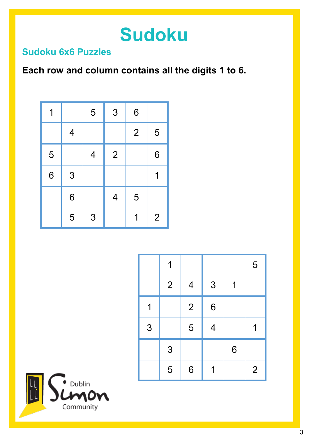## **Sudoku**

#### **Sudoku 6x6 Puzzles**

### **Each row and column contains all the digits 1 to 6.**

| 1 |                | 5              | 3                        | 6              |                |
|---|----------------|----------------|--------------------------|----------------|----------------|
|   | $\overline{4}$ |                |                          | $\overline{2}$ | 5              |
| 5 |                | $\overline{4}$ | $\overline{2}$           |                | 6              |
| 6 | 3              |                |                          |                | 1              |
|   | 6              |                | $\overline{\mathcal{A}}$ | 5              |                |
|   | 5              | 3              |                          | 1              | $\overline{2}$ |

|   | 1              |                          |                  |   | 5              |
|---|----------------|--------------------------|------------------|---|----------------|
|   | $\overline{2}$ | $\overline{\mathcal{A}}$ | 3                | 1 |                |
| 1 |                | $\overline{2}$           | $\boldsymbol{6}$ |   |                |
| 3 |                | 5                        | $\overline{4}$   |   | 1              |
|   | 3              |                          |                  | 6 |                |
|   | 5              | 6                        |                  |   | $\overline{2}$ |